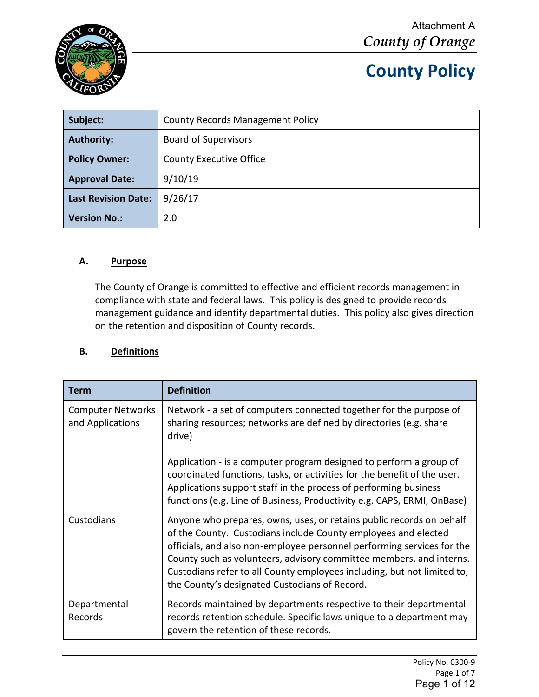

| Subject:                   | <b>County Records Management Policy</b> |
|----------------------------|-----------------------------------------|
| <b>Authority:</b>          | <b>Board of Supervisors</b>             |
| <b>Policy Owner:</b>       | <b>County Executive Office</b>          |
| <b>Approval Date:</b>      | 9/10/19                                 |
| <b>Last Revision Date:</b> | 9/26/17                                 |
| <b>Version No.:</b>        | 2.0                                     |

### **A. Purpose**

The County of Orange is committed to effective and efficient records management in compliance with state and federal laws. This policy is designed to provide records management guidance and identify departmental duties. This policy also gives direction on the retention and disposition of County records.

#### **B. Definitions**

| Term                                         | <b>Definition</b>                                                                                                                                                                                                                                                                                                                                                                                                   |
|----------------------------------------------|---------------------------------------------------------------------------------------------------------------------------------------------------------------------------------------------------------------------------------------------------------------------------------------------------------------------------------------------------------------------------------------------------------------------|
| <b>Computer Networks</b><br>and Applications | Network - a set of computers connected together for the purpose of<br>sharing resources; networks are defined by directories (e.g. share<br>drive)                                                                                                                                                                                                                                                                  |
|                                              | Application - is a computer program designed to perform a group of<br>coordinated functions, tasks, or activities for the benefit of the user.<br>Applications support staff in the process of performing business<br>functions (e.g. Line of Business, Productivity e.g. CAPS, ERMI, OnBase)                                                                                                                       |
| Custodians                                   | Anyone who prepares, owns, uses, or retains public records on behalf<br>of the County. Custodians include County employees and elected<br>officials, and also non-employee personnel performing services for the<br>County such as volunteers, advisory committee members, and interns.<br>Custodians refer to all County employees including, but not limited to,<br>the County's designated Custodians of Record. |
| Departmental<br><b>Records</b>               | Records maintained by departments respective to their departmental<br>records retention schedule. Specific laws unique to a department may<br>govern the retention of these records.                                                                                                                                                                                                                                |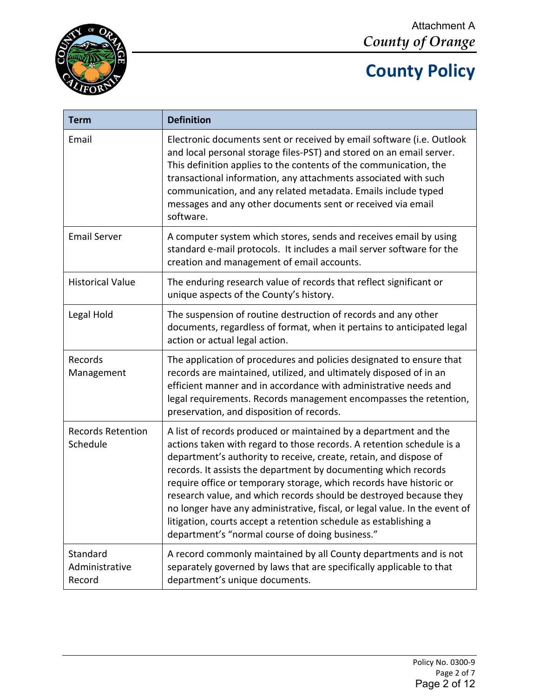



| <b>Term</b>                          | <b>Definition</b>                                                                                                                                                                                                                                                                                                                                                                                                                                                                                                                                                                                                                   |  |  |  |  |
|--------------------------------------|-------------------------------------------------------------------------------------------------------------------------------------------------------------------------------------------------------------------------------------------------------------------------------------------------------------------------------------------------------------------------------------------------------------------------------------------------------------------------------------------------------------------------------------------------------------------------------------------------------------------------------------|--|--|--|--|
| Email                                | Electronic documents sent or received by email software (i.e. Outlook<br>and local personal storage files-PST) and stored on an email server.<br>This definition applies to the contents of the communication, the<br>transactional information, any attachments associated with such<br>communication, and any related metadata. Emails include typed<br>messages and any other documents sent or received via email<br>software.                                                                                                                                                                                                  |  |  |  |  |
| <b>Email Server</b>                  | A computer system which stores, sends and receives email by using<br>standard e-mail protocols. It includes a mail server software for the<br>creation and management of email accounts.                                                                                                                                                                                                                                                                                                                                                                                                                                            |  |  |  |  |
| <b>Historical Value</b>              | The enduring research value of records that reflect significant or<br>unique aspects of the County's history.                                                                                                                                                                                                                                                                                                                                                                                                                                                                                                                       |  |  |  |  |
| Legal Hold                           | The suspension of routine destruction of records and any other<br>documents, regardless of format, when it pertains to anticipated legal<br>action or actual legal action.                                                                                                                                                                                                                                                                                                                                                                                                                                                          |  |  |  |  |
| Records<br>Management                | The application of procedures and policies designated to ensure that<br>records are maintained, utilized, and ultimately disposed of in an<br>efficient manner and in accordance with administrative needs and<br>legal requirements. Records management encompasses the retention,<br>preservation, and disposition of records.                                                                                                                                                                                                                                                                                                    |  |  |  |  |
| <b>Records Retention</b><br>Schedule | A list of records produced or maintained by a department and the<br>actions taken with regard to those records. A retention schedule is a<br>department's authority to receive, create, retain, and dispose of<br>records. It assists the department by documenting which records<br>require office or temporary storage, which records have historic or<br>research value, and which records should be destroyed because they<br>no longer have any administrative, fiscal, or legal value. In the event of<br>litigation, courts accept a retention schedule as establishing a<br>department's "normal course of doing business." |  |  |  |  |
| Standard<br>Administrative<br>Record | A record commonly maintained by all County departments and is not<br>separately governed by laws that are specifically applicable to that<br>department's unique documents.                                                                                                                                                                                                                                                                                                                                                                                                                                                         |  |  |  |  |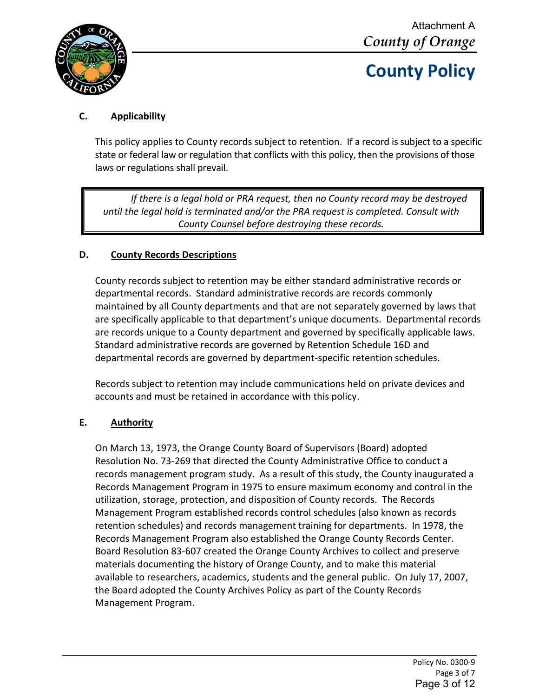

### **C. Applicability**

This policy applies to County records subject to retention. If a record is subject to a specific state or federal law or regulation that conflicts with this policy, then the provisions of those laws or regulations shall prevail.

*If there is a legal hold or PRA request, then no County record may be destroyed until the legal hold is terminated and/or the PRA request is completed. Consult with County Counsel before destroying these records.*

### **D. County Records Descriptions**

County records subject to retention may be either standard administrative records or departmental records. Standard administrative records are records commonly maintained by all County departments and that are not separately governed by laws that are specifically applicable to that department's unique documents. Departmental records are records unique to a County department and governed by specifically applicable laws. Standard administrative records are governed by Retention Schedule 16D and departmental records are governed by department-specific retention schedules.

Records subject to retention may include communications held on private devices and accounts and must be retained in accordance with this policy.

#### **E. Authority**

On March 13, 1973, the Orange County Board of Supervisors (Board) adopted Resolution No. 73-269 that directed the County Administrative Office to conduct a records management program study. As a result of this study, the County inaugurated a Records Management Program in 1975 to ensure maximum economy and control in the utilization, storage, protection, and disposition of County records. The Records Management Program established records control schedules (also known as records retention schedules) and records management training for departments. In 1978, the Records Management Program also established the Orange County Records Center. Board Resolution 83-607 created the Orange County Archives to collect and preserve materials documenting the history of Orange County, and to make this material available to researchers, academics, students and the general public. On July 17, 2007, the Board adopted the County Archives Policy as part of the County Records Management Program.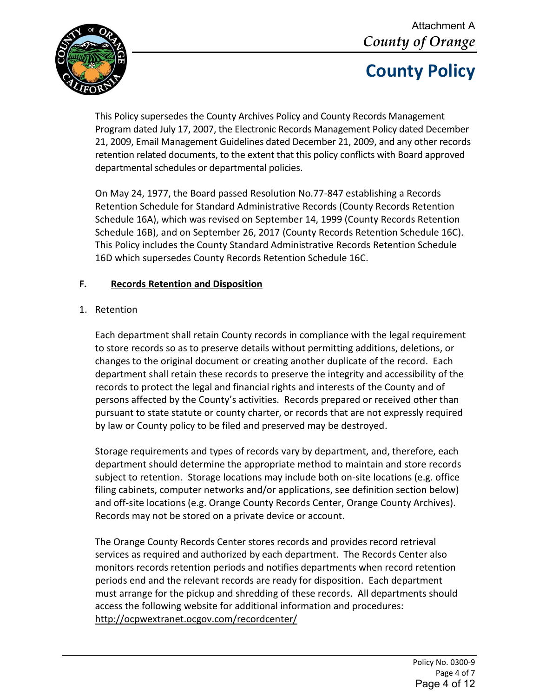

This Policy supersedes the County Archives Policy and County Records Management Program dated July 17, 2007, the Electronic Records Management Policy dated December 21, 2009, Email Management Guidelines dated December 21, 2009, and any other records retention related documents, to the extent that this policy conflicts with Board approved departmental schedules or departmental policies.

On May 24, 1977, the Board passed Resolution No.77-847 establishing a Records Retention Schedule for Standard Administrative Records (County Records Retention Schedule 16A), which was revised on September 14, 1999 (County Records Retention Schedule 16B), and on September 26, 2017 (County Records Retention Schedule 16C). This Policy includes the County Standard Administrative Records Retention Schedule 16D which supersedes County Records Retention Schedule 16C.

#### **F. Records Retention and Disposition**

#### 1. Retention

Each department shall retain County records in compliance with the legal requirement to store records so as to preserve details without permitting additions, deletions, or changes to the original document or creating another duplicate of the record. Each department shall retain these records to preserve the integrity and accessibility of the records to protect the legal and financial rights and interests of the County and of persons affected by the County's activities. Records prepared or received other than pursuant to state statute or county charter, or records that are not expressly required by law or County policy to be filed and preserved may be destroyed.

Storage requirements and types of records vary by department, and, therefore, each department should determine the appropriate method to maintain and store records subject to retention. Storage locations may include both on-site locations (e.g. office filing cabinets, computer networks and/or applications, see definition section below) and off-site locations (e.g. Orange County Records Center, Orange County Archives). Records may not be stored on a private device or account.

The Orange County Records Center stores records and provides record retrieval services as required and authorized by each department. The Records Center also monitors records retention periods and notifies departments when record retention periods end and the relevant records are ready for disposition. Each department must arrange for the pickup and shredding of these records. All departments should access the following website for additional information and procedures: <http://ocpwextranet.ocgov.com/recordcenter/>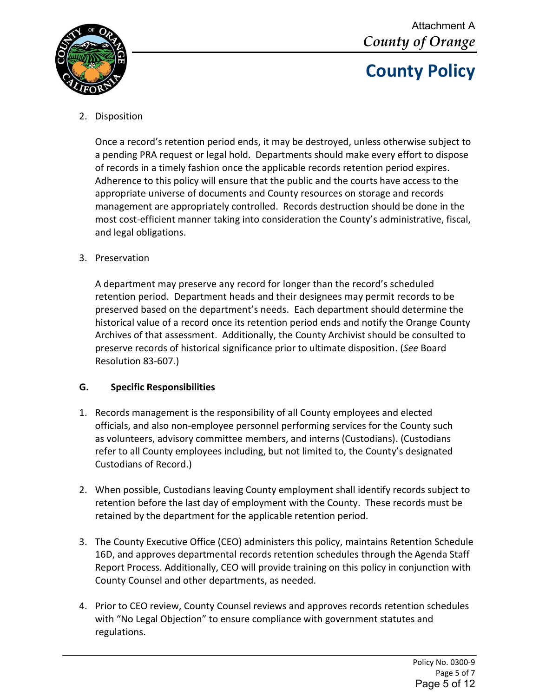

### 2. Disposition

Once a record's retention period ends, it may be destroyed, unless otherwise subject to a pending PRA request or legal hold. Departments should make every effort to dispose of records in a timely fashion once the applicable records retention period expires. Adherence to this policy will ensure that the public and the courts have access to the appropriate universe of documents and County resources on storage and records management are appropriately controlled. Records destruction should be done in the most cost-efficient manner taking into consideration the County's administrative, fiscal, and legal obligations.

#### 3. Preservation

A department may preserve any record for longer than the record's scheduled retention period. Department heads and their designees may permit records to be preserved based on the department's needs. Each department should determine the historical value of a record once its retention period ends and notify the Orange County Archives of that assessment. Additionally, the County Archivist should be consulted to preserve records of historical significance prior to ultimate disposition. (*See* Board Resolution 83-607.)

### **G. Specific Responsibilities**

- 1. Records management is the responsibility of all County employees and elected officials, and also non-employee personnel performing services for the County such as volunteers, advisory committee members, and interns (Custodians). (Custodians refer to all County employees including, but not limited to, the County's designated Custodians of Record.)
- 2. When possible, Custodians leaving County employment shall identify records subject to retention before the last day of employment with the County. These records must be retained by the department for the applicable retention period.
- 3. The County Executive Office (CEO) administers this policy, maintains Retention Schedule 16D, and approves departmental records retention schedules through the Agenda Staff Report Process. Additionally, CEO will provide training on this policy in conjunction with County Counsel and other departments, as needed.
- 4. Prior to CEO review, County Counsel reviews and approves records retention schedules with "No Legal Objection" to ensure compliance with government statutes and regulations.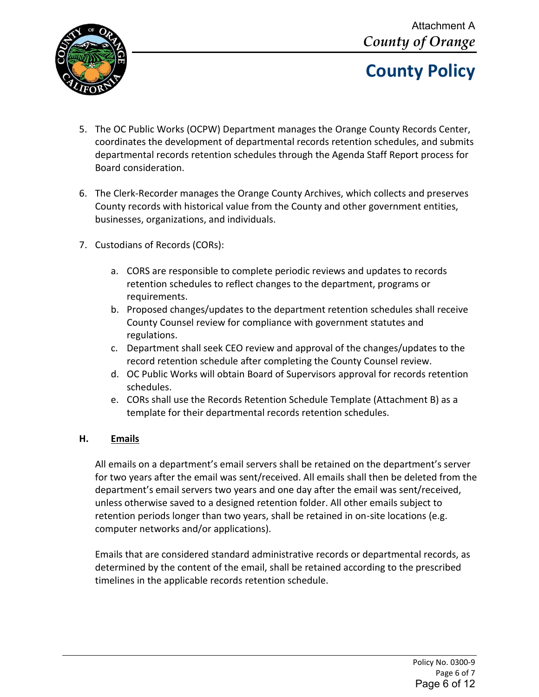

- 5. The OC Public Works (OCPW) Department manages the Orange County Records Center, coordinates the development of departmental records retention schedules, and submits departmental records retention schedules through the Agenda Staff Report process for Board consideration.
- 6. The Clerk-Recorder manages the Orange County Archives, which collects and preserves County records with historical value from the County and other government entities, businesses, organizations, and individuals.
- 7. Custodians of Records (CORs):
	- a. CORS are responsible to complete periodic reviews and updates to records retention schedules to reflect changes to the department, programs or requirements.
	- b. Proposed changes/updates to the department retention schedules shall receive County Counsel review for compliance with government statutes and regulations.
	- c. Department shall seek CEO review and approval of the changes/updates to the record retention schedule after completing the County Counsel review.
	- d. OC Public Works will obtain Board of Supervisors approval for records retention schedules.
	- e. CORs shall use the Records Retention Schedule Template (Attachment B) as a template for their departmental records retention schedules.

#### **H. Emails**

All emails on a department's email servers shall be retained on the department's server for two years after the email was sent/received. All emails shall then be deleted from the department's email servers two years and one day after the email was sent/received, unless otherwise saved to a designed retention folder. All other emails subject to retention periods longer than two years, shall be retained in on-site locations (e.g. computer networks and/or applications).

Emails that are considered standard administrative records or departmental records, as determined by the content of the email, shall be retained according to the prescribed timelines in the applicable records retention schedule.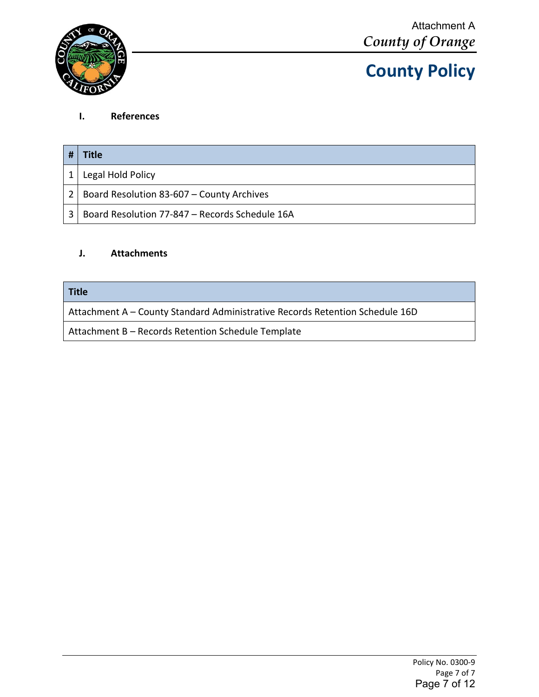

#### **I. References**

|   | Title                                          |
|---|------------------------------------------------|
|   | Legal Hold Policy                              |
| 2 | Board Resolution 83-607 - County Archives      |
|   | Board Resolution 77-847 – Records Schedule 16A |

#### **J. Attachments**

#### **Title**

Attachment A – County Standard Administrative Records Retention Schedule 16D

Attachment B – Records Retention Schedule Template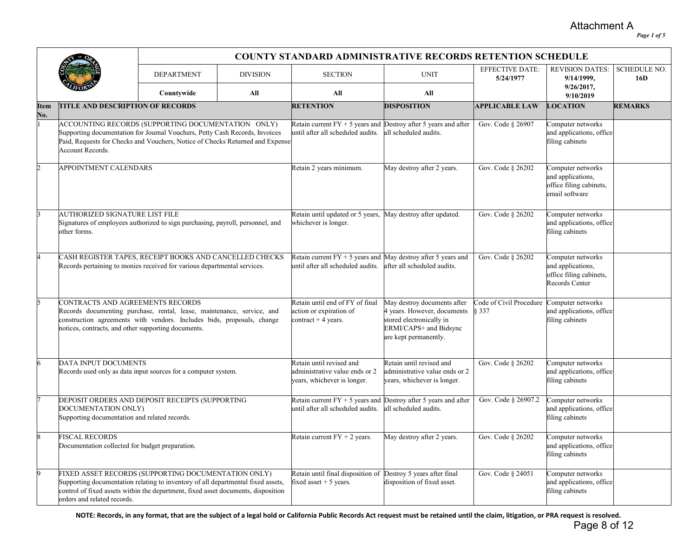Attachment A

*Page 1 of 5*

|             |                                                                                                                                                                                                                                                             | <b>COUNTY STANDARD ADMINISTRATIVE RECORDS RETENTION SCHEDULE</b> |     |                                                                                                        |                                                                                                                                           |                                     |                                                                                     |                            |  |
|-------------|-------------------------------------------------------------------------------------------------------------------------------------------------------------------------------------------------------------------------------------------------------------|------------------------------------------------------------------|-----|--------------------------------------------------------------------------------------------------------|-------------------------------------------------------------------------------------------------------------------------------------------|-------------------------------------|-------------------------------------------------------------------------------------|----------------------------|--|
|             |                                                                                                                                                                                                                                                             | <b>DEPARTMENT</b><br><b>DIVISION</b>                             |     | <b>SECTION</b>                                                                                         | <b>UNIT</b>                                                                                                                               | <b>EFFECTIVE DATE:</b><br>5/24/1977 | <b>REVISION DATES:</b><br>9/14/1999,                                                | <b>SCHEDULE NO.</b><br>16D |  |
|             |                                                                                                                                                                                                                                                             | Countywide                                                       | All | All                                                                                                    | All                                                                                                                                       |                                     | 9/26/2017,<br>9/10/2019                                                             |                            |  |
| Item<br>No. | <b>TITLE AND DESCRIPTION OF RECORDS</b>                                                                                                                                                                                                                     |                                                                  |     | <b>RETENTION</b>                                                                                       | <b>DISPOSITION</b>                                                                                                                        | <b>APPLICABLE LAW</b>               | <b>LOCATION</b>                                                                     | <b>REMARKS</b>             |  |
|             | ACCOUNTING RECORDS (SUPPORTING DOCUMENTATION ONLY)<br>Supporting documentation for Journal Vouchers, Petty Cash Records, Invoices<br>Paid, Requests for Checks and Vouchers, Notice of Checks Returned and Expense<br>Account Records.                      |                                                                  |     | Retain current $FY + 5$ years and Destroy after 5 years and after<br>until after all scheduled audits. | all scheduled audits.                                                                                                                     | Gov. Code § 26907                   | Computer networks<br>and applications, office<br>filing cabinets                    |                            |  |
|             | APPOINTMENT CALENDARS                                                                                                                                                                                                                                       |                                                                  |     | Retain 2 years minimum.                                                                                | May destroy after 2 years.                                                                                                                | Gov. Code § 26202                   | Computer networks<br>and applications,<br>office filing cabinets,<br>email software |                            |  |
|             | <b>AUTHORIZED SIGNATURE LIST FILE</b><br>Signatures of employees authorized to sign purchasing, payroll, personnel, and<br>other forms.                                                                                                                     |                                                                  |     | Retain until updated or 5 years,<br>whichever is longer.                                               | May destroy after updated.                                                                                                                | Gov. Code § 26202                   | Computer networks<br>and applications, office<br>filing cabinets                    |                            |  |
|             | CASH REGISTER TAPES, RECEIPT BOOKS AND CANCELLED CHECKS<br>Records pertaining to monies received for various departmental services.                                                                                                                         |                                                                  |     | Retain current $FY + 5$ years and May destroy after 5 years and<br>until after all scheduled audits.   | after all scheduled audits.                                                                                                               | Gov. Code § 26202                   | Computer networks<br>and applications,<br>office filing cabinets,<br>Records Center |                            |  |
|             | CONTRACTS AND AGREEMENTS RECORDS<br>Records documenting purchase, rental, lease, maintenance, service, and<br>construction agreements with vendors. Includes bids, proposals, change<br>notices, contracts, and other supporting documents.                 |                                                                  |     | Retain until end of FY of final<br>action or expiration of<br>contract $+4$ years.                     | May destroy documents after<br>4 years. However, documents<br>stored electronically in<br>ERMI/CAPS+ and Bidsync<br>are kept permanently. | Code of Civil Procedure<br>§ 337    | Computer networks<br>and applications, office<br>filing cabinets                    |                            |  |
|             | DATA INPUT DOCUMENTS<br>Records used only as data input sources for a computer system.                                                                                                                                                                      |                                                                  |     | Retain until revised and<br>administrative value ends or 2<br>years, whichever is longer.              | Retain until revised and<br>administrative value ends or 2<br>years, whichever is longer.                                                 | Gov. Code § 26202                   | Computer networks<br>and applications, office<br>filing cabinets                    |                            |  |
|             | DEPOSIT ORDERS AND DEPOSIT RECEIPTS (SUPPORTING<br>DOCUMENTATION ONLY)<br>Supporting documentation and related records.                                                                                                                                     |                                                                  |     | Retain current $FY + 5$ years and Destroy after 5 years and after<br>until after all scheduled audits. | all scheduled audits.                                                                                                                     | Gov. Code § 26907.2                 | Computer networks<br>and applications, office<br>filing cabinets                    |                            |  |
|             | <b>FISCAL RECORDS</b><br>Documentation collected for budget preparation.                                                                                                                                                                                    |                                                                  |     | Retain current $FY + 2$ years.                                                                         | May destroy after 2 years.                                                                                                                | Gov. Code § 26202                   | Computer networks<br>and applications, office<br>filing cabinets                    |                            |  |
|             | FIXED ASSET RECORDS (SUPPORTING DOCUMENTATION ONLY)<br>Supporting documentation relating to inventory of all departmental fixed assets,<br>control of fixed assets within the department, fixed asset documents, disposition<br>orders and related records. |                                                                  |     | Retain until final disposition of<br>fixed asset $+5$ years.                                           | Destroy 5 years after final<br>disposition of fixed asset.                                                                                | Gov. Code § 24051                   | Computer networks<br>and applications, office<br>filing cabinets                    |                            |  |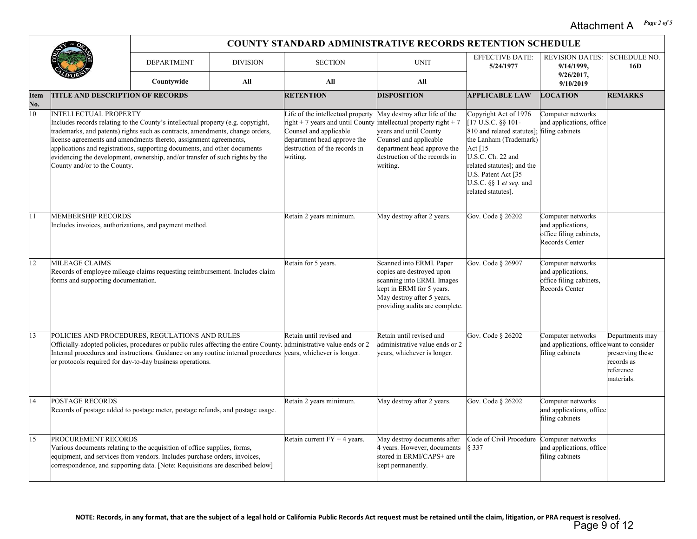#### *Page 2 of 5* Attachment A

|             |                                                                                                                                                                                                                                                                                                                                                                                                | <b>COUNTY STANDARD ADMINISTRATIVE RECORDS RETENTION SCHEDULE</b>  |                 |                                                                                                                                                                             |                                                                                                                                                                                                   |                                                                                                                                                                                                                                            |                                                                                     |                                                                              |  |  |
|-------------|------------------------------------------------------------------------------------------------------------------------------------------------------------------------------------------------------------------------------------------------------------------------------------------------------------------------------------------------------------------------------------------------|-------------------------------------------------------------------|-----------------|-----------------------------------------------------------------------------------------------------------------------------------------------------------------------------|---------------------------------------------------------------------------------------------------------------------------------------------------------------------------------------------------|--------------------------------------------------------------------------------------------------------------------------------------------------------------------------------------------------------------------------------------------|-------------------------------------------------------------------------------------|------------------------------------------------------------------------------|--|--|
|             |                                                                                                                                                                                                                                                                                                                                                                                                | <b>DEPARTMENT</b>                                                 | <b>DIVISION</b> | <b>SECTION</b>                                                                                                                                                              | <b>UNIT</b>                                                                                                                                                                                       | <b>EFFECTIVE DATE:</b><br>5/24/1977                                                                                                                                                                                                        | <b>REVISION DATES:</b><br>9/14/1999,                                                | <b>SCHEDULE NO.</b><br>16D                                                   |  |  |
|             |                                                                                                                                                                                                                                                                                                                                                                                                | Countywide                                                        | All             | All                                                                                                                                                                         | All                                                                                                                                                                                               |                                                                                                                                                                                                                                            | $9/26/2017$ ,<br>9/10/2019                                                          |                                                                              |  |  |
| ltem<br>No. | <b>TITLE AND DESCRIPTION OF RECORDS</b>                                                                                                                                                                                                                                                                                                                                                        |                                                                   |                 | <b>RETENTION</b>                                                                                                                                                            | <b>DISPOSITION</b>                                                                                                                                                                                | <b>APPLICABLE LAW</b>                                                                                                                                                                                                                      | <b>LOCATION</b>                                                                     | <b>REMARKS</b>                                                               |  |  |
| 10          | <b>INTELLECTUAL PROPERTY</b><br>Includes records relating to the County's intellectual property (e.g. copyright,<br>trademarks, and patents) rights such as contracts, amendments, change orders,<br>applications and registrations, supporting documents, and other documents<br>evidencing the development, ownership, and/or transfer of such rights by the<br>County and/or to the County. | license agreements and amendments thereto, assignment agreements, |                 | Life of the intellectual property<br>right + 7 years and until County<br>Counsel and applicable<br>department head approve the<br>destruction of the records in<br>writing. | May destroy after life of the<br>intellectual property right $+7$<br>years and until County<br>Counsel and applicable<br>department head approve the<br>destruction of the records in<br>writing. | Copyright Act of 1976<br>[17 U.S.C. §§ 101-<br>810 and related statutes];<br>the Lanham (Trademark)<br>Act $15$<br>U.S.C. Ch. 22 and<br>related statutes]; and the<br>U.S. Patent Act [35<br>U.S.C. §§ 1 et seq. and<br>related statutes]. | Computer networks<br>and applications, office<br>filing cabinets                    |                                                                              |  |  |
| 11          | <b>MEMBERSHIP RECORDS</b><br>Includes invoices, authorizations, and payment method.                                                                                                                                                                                                                                                                                                            |                                                                   |                 | Retain 2 years minimum.                                                                                                                                                     | May destroy after 2 years.                                                                                                                                                                        | Gov. Code § 26202                                                                                                                                                                                                                          | Computer networks<br>and applications,<br>office filing cabinets,<br>Records Center |                                                                              |  |  |
| 12          | <b>MILEAGE CLAIMS</b><br>Records of employee mileage claims requesting reimbursement. Includes claim<br>forms and supporting documentation.                                                                                                                                                                                                                                                    |                                                                   |                 | Retain for 5 years.                                                                                                                                                         | Scanned into ERMI. Paper<br>copies are destroyed upon<br>scanning into ERMI. Images<br>kept in ERMI for 5 years.<br>May destroy after 5 years,<br>providing audits are complete.                  | Gov. Code § 26907                                                                                                                                                                                                                          | Computer networks<br>and applications,<br>office filing cabinets,<br>Records Center |                                                                              |  |  |
| 13          | POLICIES AND PROCEDURES, REGULATIONS AND RULES<br>Internal procedures and instructions. Guidance on any routine internal procedures years, whichever is longer.<br>or protocols required for day-to-day business operations.                                                                                                                                                                   |                                                                   |                 | Retain until revised and<br>Officially-adopted policies, procedures or public rules affecting the entire County. administrative value ends or 2                             | Retain until revised and<br>administrative value ends or 2<br>years, whichever is longer.                                                                                                         | Gov. Code § 26202                                                                                                                                                                                                                          | Computer networks<br>and applications, office want to consider<br>filing cabinets   | Departments may<br>preserving these<br>records as<br>reference<br>materials. |  |  |
| 14          | <b>POSTAGE RECORDS</b><br>Records of postage added to postage meter, postage refunds, and postage usage.                                                                                                                                                                                                                                                                                       |                                                                   |                 | Retain 2 years minimum.                                                                                                                                                     | May destroy after 2 years.                                                                                                                                                                        | Gov. Code § 26202                                                                                                                                                                                                                          | Computer networks<br>and applications, office<br>filing cabinets                    |                                                                              |  |  |
| 15          | PROCUREMENT RECORDS<br>Various documents relating to the acquisition of office supplies, forms,<br>equipment, and services from vendors. Includes purchase orders, invoices,<br>correspondence, and supporting data. [Note: Requisitions are described below]                                                                                                                                  |                                                                   |                 | Retain current $FY + 4$ years.                                                                                                                                              | May destroy documents after<br>4 years. However, documents<br>stored in ERMI/CAPS+ are<br>kept permanently.                                                                                       | Code of Civil Procedure<br>\$337                                                                                                                                                                                                           | Computer networks<br>and applications, office<br>filing cabinets                    |                                                                              |  |  |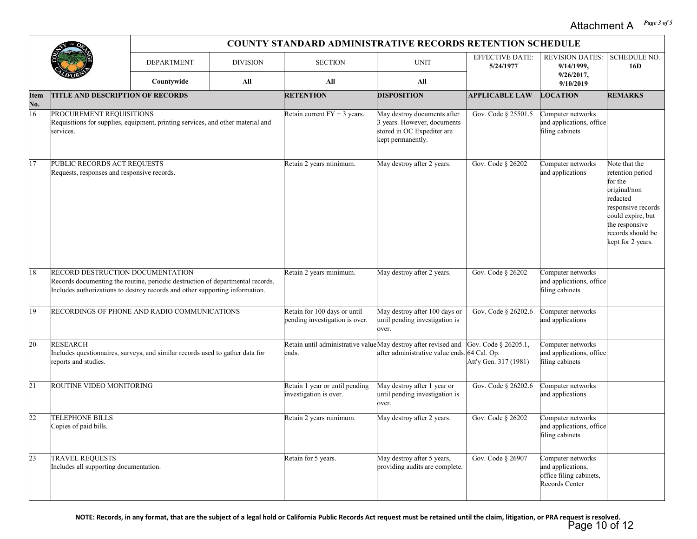#### *Page 3 of 5* Attachment A

|             |                                                                                                                                                                                                           | <b>COUNTY STANDARD ADMINISTRATIVE RECORDS RETENTION SCHEDULE</b> |                 |                                                                         |                                                                                                               |                                               |                                                                                     |                                                                                                                                                                                 |  |  |
|-------------|-----------------------------------------------------------------------------------------------------------------------------------------------------------------------------------------------------------|------------------------------------------------------------------|-----------------|-------------------------------------------------------------------------|---------------------------------------------------------------------------------------------------------------|-----------------------------------------------|-------------------------------------------------------------------------------------|---------------------------------------------------------------------------------------------------------------------------------------------------------------------------------|--|--|
|             |                                                                                                                                                                                                           | <b>DEPARTMENT</b>                                                | <b>DIVISION</b> | <b>SECTION</b>                                                          | <b>UNIT</b>                                                                                                   | <b>EFFECTIVE DATE:</b><br>5/24/1977           | <b>REVISION DATES:</b><br>9/14/1999,                                                | <b>SCHEDULE NO.</b><br>16D                                                                                                                                                      |  |  |
|             |                                                                                                                                                                                                           | Countywide<br>All                                                |                 | All                                                                     | All                                                                                                           |                                               | 9/26/2017,<br>9/10/2019                                                             |                                                                                                                                                                                 |  |  |
| ltem<br>Ňо. | <b>TITLE AND DESCRIPTION OF RECORDS</b>                                                                                                                                                                   |                                                                  |                 | <b>RETENTION</b>                                                        | <b>DISPOSITION</b>                                                                                            | <b>APPLICABLE LAW</b>                         | <b>LOCATION</b>                                                                     | <b>REMARKS</b>                                                                                                                                                                  |  |  |
| 16          | PROCUREMENT REQUISITIONS<br>Requisitions for supplies, equipment, printing services, and other material and<br>services.                                                                                  |                                                                  |                 | Retain current $FY + 3$ years.                                          | May destroy documents after<br>3 years. However, documents<br>stored in OC Expediter are<br>kept permanently. | Gov. Code § 25501.5                           | Computer networks<br>and applications, office<br>filing cabinets                    |                                                                                                                                                                                 |  |  |
| 17          | PUBLIC RECORDS ACT REQUESTS<br>Requests, responses and responsive records.                                                                                                                                |                                                                  |                 | Retain 2 years minimum.                                                 | May destroy after 2 years.                                                                                    | Gov. Code § 26202                             | Computer networks<br>and applications                                               | Note that the<br>retention period<br>for the<br>original/non<br>redacted<br>responsive records<br>could expire, but<br>the responsive<br>records should be<br>kept for 2 years. |  |  |
| 18          | <b>RECORD DESTRUCTION DOCUMENTATION</b><br>Records documenting the routine, periodic destruction of departmental records.<br>Includes authorizations to destroy records and other supporting information. |                                                                  |                 | Retain 2 years minimum.                                                 | May destroy after 2 years.                                                                                    | Gov. Code § 26202                             | Computer networks<br>and applications, office<br>filing cabinets                    |                                                                                                                                                                                 |  |  |
| 19          | RECORDINGS OF PHONE AND RADIO COMMUNICATIONS                                                                                                                                                              |                                                                  |                 | Retain for 100 days or until<br>pending investigation is over.          | May destroy after 100 days or<br>until pending investigation is<br>over.                                      | Gov. Code § 26202.6                           | Computer networks<br>and applications                                               |                                                                                                                                                                                 |  |  |
| 20          | <b>RESEARCH</b><br>Includes questionnaires, surveys, and similar records used to gather data for<br>eports and studies.                                                                                   |                                                                  |                 | Retain until administrative valueMay destroy after revised and<br>ends. | after administrative value ends. 64 Cal. Op.                                                                  | Gov. Code § 26205.1,<br>Att'y Gen. 317 (1981) | Computer networks<br>and applications, office<br>filing cabinets                    |                                                                                                                                                                                 |  |  |
| 21          | ROUTINE VIDEO MONITORING                                                                                                                                                                                  |                                                                  |                 | Retain 1 year or until pending<br>investigation is over.                | May destroy after 1 year or<br>until pending investigation is<br>over.                                        | Gov. Code § 26202.6                           | Computer networks<br>and applications                                               |                                                                                                                                                                                 |  |  |
| 22          | <b>TELEPHONE BILLS</b><br>Copies of paid bills.                                                                                                                                                           |                                                                  |                 | Retain 2 years minimum.                                                 | May destroy after 2 years.                                                                                    | Gov. Code § 26202                             | Computer networks<br>and applications, office<br>filing cabinets                    |                                                                                                                                                                                 |  |  |
| 23          | <b>TRAVEL REQUESTS</b><br>Includes all supporting documentation.                                                                                                                                          |                                                                  |                 | Retain for 5 years.                                                     | May destroy after 5 years,<br>providing audits are complete.                                                  | Gov. Code § 26907                             | Computer networks<br>and applications,<br>office filing cabinets,<br>Records Center |                                                                                                                                                                                 |  |  |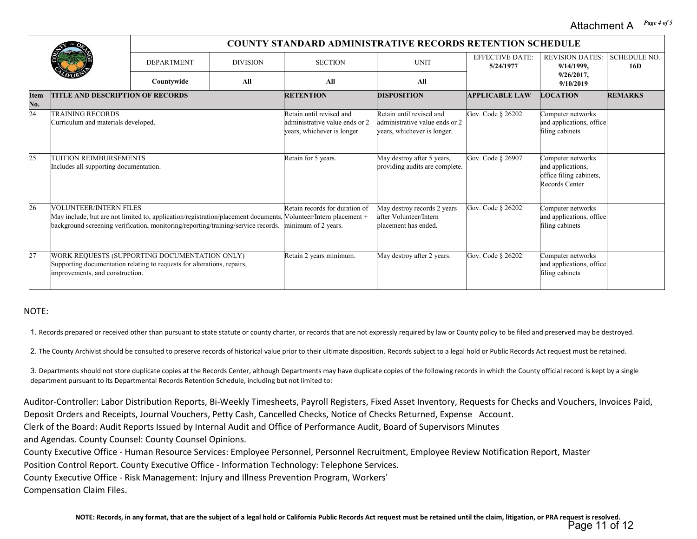*Page 4 of 5* Attachment A

|                    |                                                                                                                                                             | <b>COUNTY STANDARD ADMINISTRATIVE RECORDS RETENTION SCHEDULE</b> |     |                                                                                                                                                                           |                                                                                           |                                     |                                                                                     |                            |  |  |
|--------------------|-------------------------------------------------------------------------------------------------------------------------------------------------------------|------------------------------------------------------------------|-----|---------------------------------------------------------------------------------------------------------------------------------------------------------------------------|-------------------------------------------------------------------------------------------|-------------------------------------|-------------------------------------------------------------------------------------|----------------------------|--|--|
|                    |                                                                                                                                                             | <b>DEPARTMENT</b><br><b>DIVISION</b>                             |     | <b>SECTION</b><br><b>UNIT</b>                                                                                                                                             |                                                                                           | <b>EFFECTIVE DATE:</b><br>5/24/1977 | <b>REVISION DATES:</b><br>9/14/1999,                                                | <b>SCHEDULE NO.</b><br>16D |  |  |
|                    |                                                                                                                                                             | Countywide                                                       | All | All                                                                                                                                                                       | All                                                                                       |                                     | $9/26/2017$ ,<br>9/10/2019                                                          |                            |  |  |
| <b>Item</b><br>No. | <b>TITLE AND DESCRIPTION OF RECORDS</b>                                                                                                                     |                                                                  |     | <b>RETENTION</b>                                                                                                                                                          | <b>DISPOSITION</b>                                                                        | <b>APPLICABLE LAW</b>               | <b>LOCATION</b>                                                                     | <b>REMARKS</b>             |  |  |
| 24                 | <b>TRAINING RECORDS</b><br>Curriculum and materials developed.                                                                                              |                                                                  |     | Retain until revised and<br>administrative value ends or 2<br>years, whichever is longer.                                                                                 | Retain until revised and<br>administrative value ends or 2<br>years, whichever is longer. | Gov. Code § 26202                   | Computer networks<br>and applications, office<br>filing cabinets                    |                            |  |  |
|                    | <b>TUITION REIMBURSEMENTS</b><br>Includes all supporting documentation.                                                                                     |                                                                  |     | Retain for 5 years.                                                                                                                                                       | May destroy after 5 years,<br>providing audits are complete.                              | Gov. Code § 26907                   | Computer networks<br>and applications,<br>office filing cabinets,<br>Records Center |                            |  |  |
| 26                 | <b>VOLUNTEER/INTERN FILES</b><br>background screening verification, monitoring/reporting/training/service records.                                          |                                                                  |     | Retain records for duration of<br>May include, but are not limited to, application/registration/placement documents, [Volunteer/Intern placement +<br>minimum of 2 years. | May destroy records 2 years<br>after Volunteer/Intern<br>placement has ended.             | Gov. Code § 26202                   | Computer networks<br>and applications, office<br>filing cabinets                    |                            |  |  |
|                    | WORK REQUESTS (SUPPORTING DOCUMENTATION ONLY)<br>Supporting documentation relating to requests for alterations, repairs,<br>improvements, and construction. |                                                                  |     | Retain 2 years minimum.                                                                                                                                                   | May destroy after 2 years.                                                                | Gov. Code § 26202                   | Computer networks<br>and applications, office<br>filing cabinets                    |                            |  |  |

#### NOTE:

1. Records prepared or received other than pursuant to state statute or county charter, or records that are not expressly required by law or County policy to be filed and preserved may be destroyed.

2. The County Archivist should be consulted to preserve records of historical value prior to their ultimate disposition. Records subject to a legal hold or Public Records Act request must be retained.

3. Departments should not store duplicate copies at the Records Center, although Departments may have duplicate copies of the following records in which the County official record is kept by a single department pursuant to its Departmental Records Retention Schedule, including but not limited to:

Auditor-Controller: Labor Distribution Reports, Bi-Weekly Timesheets, Payroll Registers, Fixed Asset Inventory, Requests for Checks and Vouchers, Invoices Paid, Deposit Orders and Receipts, Journal Vouchers, Petty Cash, Cancelled Checks, Notice of Checks Returned, Expense Account.

Clerk of the Board: Audit Reports Issued by Internal Audit and Office of Performance Audit, Board of Supervisors Minutes

and Agendas. County Counsel: County Counsel Opinions.

County Executive Office - Human Resource Services: Employee Personnel, Personnel Recruitment, Employee Review Notification Report, Master

Position Control Report. County Executive Office - Information Technology: Telephone Services.

County Executive Office - Risk Management: Injury and Illness Prevention Program, Workers'

Compensation Claim Files.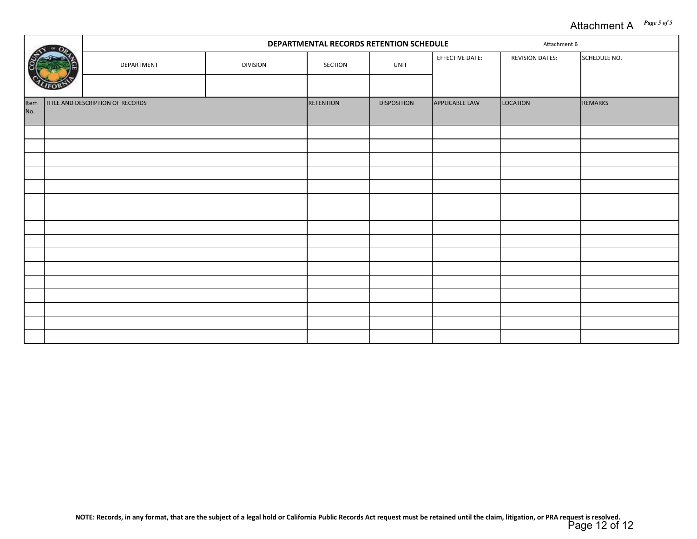#### *Page 5 of 5* Attachment A

|             |  |                                  |                 |                  | DEPARTMENTAL RECORDS RETENTION SCHEDULE<br>Attachment B |                 |                        |              |  |
|-------------|--|----------------------------------|-----------------|------------------|---------------------------------------------------------|-----------------|------------------------|--------------|--|
|             |  | DEPARTMENT                       | <b>DIVISION</b> | SECTION          | UNIT                                                    | EFFECTIVE DATE: | <b>REVISION DATES:</b> | SCHEDULE NO. |  |
|             |  |                                  |                 |                  |                                                         |                 |                        |              |  |
| Item<br>No. |  | TITLE AND DESCRIPTION OF RECORDS |                 | <b>RETENTION</b> | <b>DISPOSITION</b>                                      | APPLICABLE LAW  | LOCATION               | REMARKS      |  |
|             |  |                                  |                 |                  |                                                         |                 |                        |              |  |
|             |  |                                  |                 |                  |                                                         |                 |                        |              |  |
|             |  |                                  |                 |                  |                                                         |                 |                        |              |  |
|             |  |                                  |                 |                  |                                                         |                 |                        |              |  |
|             |  |                                  |                 |                  |                                                         |                 |                        |              |  |
|             |  |                                  |                 |                  |                                                         |                 |                        |              |  |
|             |  |                                  |                 |                  |                                                         |                 |                        |              |  |
|             |  |                                  |                 |                  |                                                         |                 |                        |              |  |
|             |  |                                  |                 |                  |                                                         |                 |                        |              |  |
|             |  |                                  |                 |                  |                                                         |                 |                        |              |  |
|             |  |                                  |                 |                  |                                                         |                 |                        |              |  |
|             |  |                                  |                 |                  |                                                         |                 |                        |              |  |
|             |  |                                  |                 |                  |                                                         |                 |                        |              |  |
|             |  |                                  |                 |                  |                                                         |                 |                        |              |  |
|             |  |                                  |                 |                  |                                                         |                 |                        |              |  |
|             |  |                                  |                 |                  |                                                         |                 |                        |              |  |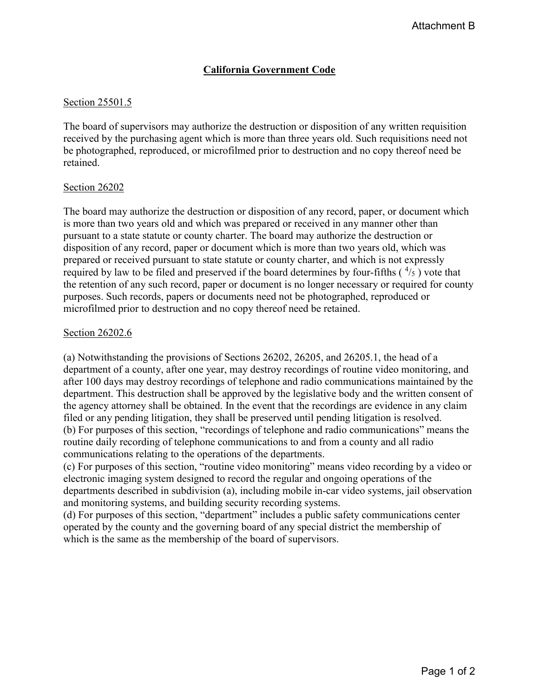### **California Government Code**

#### Section 25501.5

The board of supervisors may authorize the destruction or disposition of any written requisition received by the purchasing agent which is more than three years old. Such requisitions need not be photographed, reproduced, or microfilmed prior to destruction and no copy thereof need be retained.

#### Section 26202

The board may authorize the destruction or disposition of any record, paper, or document which is more than two years old and which was prepared or received in any manner other than pursuant to a state statute or county charter. The board may authorize the destruction or disposition of any record, paper or document which is more than two years old, which was prepared or received pursuant to state statute or county charter, and which is not expressly required by law to be filed and preserved if the board determines by four-fifths  $(^{4}/_{5})$  vote that the retention of any such record, paper or document is no longer necessary or required for county purposes. Such records, papers or documents need not be photographed, reproduced or microfilmed prior to destruction and no copy thereof need be retained.

#### Section 26202.6

(a) Notwithstanding the provisions of Sections 26202, 26205, and 26205.1, the head of a department of a county, after one year, may destroy recordings of routine video monitoring, and after 100 days may destroy recordings of telephone and radio communications maintained by the department. This destruction shall be approved by the legislative body and the written consent of the agency attorney shall be obtained. In the event that the recordings are evidence in any claim filed or any pending litigation, they shall be preserved until pending litigation is resolved. (b) For purposes of this section, "recordings of telephone and radio communications" means the routine daily recording of telephone communications to and from a county and all radio communications relating to the operations of the departments.

(c) For purposes of this section, "routine video monitoring" means video recording by a video or electronic imaging system designed to record the regular and ongoing operations of the departments described in subdivision (a), including mobile in-car video systems, jail observation and monitoring systems, and building security recording systems.

(d) For purposes of this section, "department" includes a public safety communications center operated by the county and the governing board of any special district the membership of which is the same as the membership of the board of supervisors.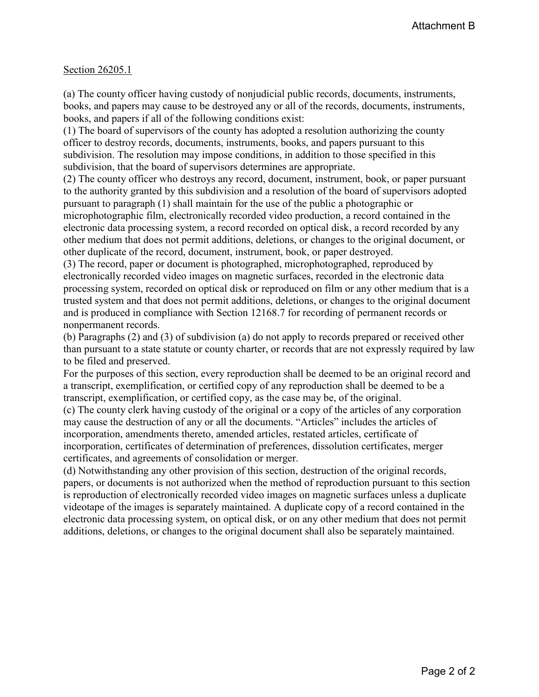#### Section 26205.1

(a) The county officer having custody of nonjudicial public records, documents, instruments, books, and papers may cause to be destroyed any or all of the records, documents, instruments, books, and papers if all of the following conditions exist:

(1) The board of supervisors of the county has adopted a resolution authorizing the county officer to destroy records, documents, instruments, books, and papers pursuant to this subdivision. The resolution may impose conditions, in addition to those specified in this subdivision, that the board of supervisors determines are appropriate.

(2) The county officer who destroys any record, document, instrument, book, or paper pursuant to the authority granted by this subdivision and a resolution of the board of supervisors adopted pursuant to paragraph (1) shall maintain for the use of the public a photographic or microphotographic film, electronically recorded video production, a record contained in the electronic data processing system, a record recorded on optical disk, a record recorded by any other medium that does not permit additions, deletions, or changes to the original document, or other duplicate of the record, document, instrument, book, or paper destroyed.

(3) The record, paper or document is photographed, microphotographed, reproduced by electronically recorded video images on magnetic surfaces, recorded in the electronic data processing system, recorded on optical disk or reproduced on film or any other medium that is a trusted system and that does not permit additions, deletions, or changes to the original document and is produced in compliance with Section 12168.7 for recording of permanent records or nonpermanent records.

(b) Paragraphs (2) and (3) of subdivision (a) do not apply to records prepared or received other than pursuant to a state statute or county charter, or records that are not expressly required by law to be filed and preserved.

For the purposes of this section, every reproduction shall be deemed to be an original record and a transcript, exemplification, or certified copy of any reproduction shall be deemed to be a transcript, exemplification, or certified copy, as the case may be, of the original.

(c) The county clerk having custody of the original or a copy of the articles of any corporation may cause the destruction of any or all the documents. "Articles" includes the articles of incorporation, amendments thereto, amended articles, restated articles, certificate of incorporation, certificates of determination of preferences, dissolution certificates, merger certificates, and agreements of consolidation or merger.

(d) Notwithstanding any other provision of this section, destruction of the original records, papers, or documents is not authorized when the method of reproduction pursuant to this section is reproduction of electronically recorded video images on magnetic surfaces unless a duplicate videotape of the images is separately maintained. A duplicate copy of a record contained in the electronic data processing system, on optical disk, or on any other medium that does not permit additions, deletions, or changes to the original document shall also be separately maintained.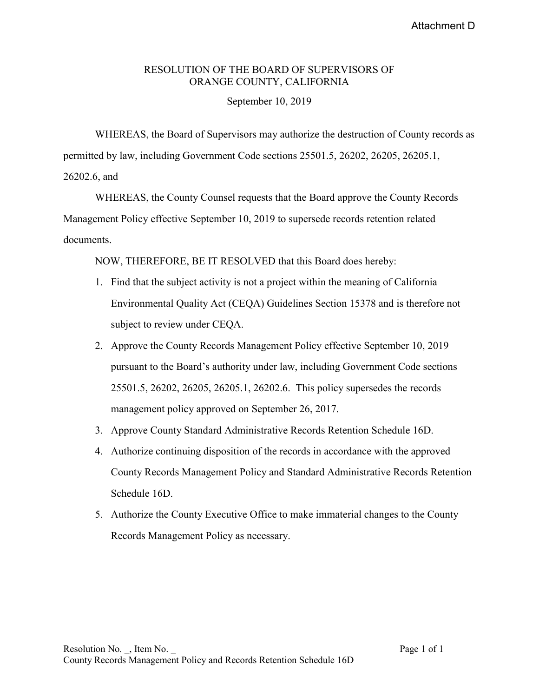#### RESOLUTION OF THE BOARD OF SUPERVISORS OF ORANGE COUNTY, CALIFORNIA

#### September 10, 2019

 WHEREAS, the Board of Supervisors may authorize the destruction of County records as permitted by law, including Government Code sections 25501.5, 26202, 26205, 26205.1, 26202.6, and

 WHEREAS, the County Counsel requests that the Board approve the County Records Management Policy effective September 10, 2019 to supersede records retention related documents.

NOW, THEREFORE, BE IT RESOLVED that this Board does hereby:

- 1. Find that the subject activity is not a project within the meaning of California Environmental Quality Act (CEQA) Guidelines Section 15378 and is therefore not subject to review under CEQA.
- 2. Approve the County Records Management Policy effective September 10, 2019 pursuant to the Board's authority under law, including Government Code sections 25501.5, 26202, 26205, 26205.1, 26202.6. This policy supersedes the records management policy approved on September 26, 2017.
- 3. Approve County Standard Administrative Records Retention Schedule 16D.
- 4. Authorize continuing disposition of the records in accordance with the approved County Records Management Policy and Standard Administrative Records Retention Schedule 16D.
- 5. Authorize the County Executive Office to make immaterial changes to the County Records Management Policy as necessary.